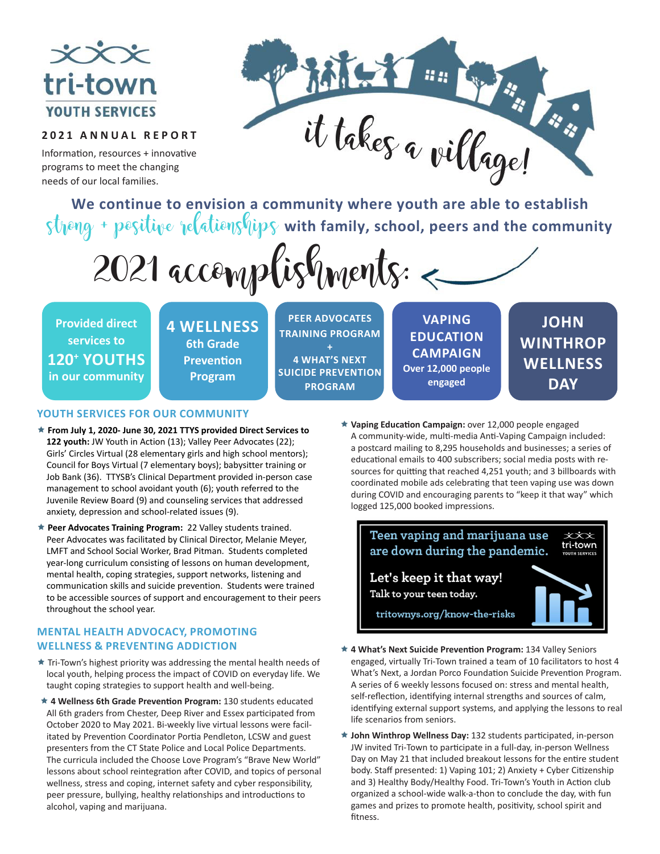

### **2021 ANNUAL REPORT**

Information, resources + innovative programs to meet the changing needs of our local families.



**We continue to envision a community where youth are able to establish** strong + positive relationships with family, school, peers and the community



**Provided direct services to 120+ YOUTHS in our community** **4 WELLNESS 6th Grade Prevention Program**

**PEER ADVOCATES TRAINING PROGRAM + 4 WHAT'S NEXT SUICIDE PREVENTION PROGRAM**

**VAPING EDUCATION CAMPAIGN Over 12,000 people engaged**

**JOHN WINTHROP WELLNESS DAY**

#### **YOUTH SERVICES FOR OUR COMMUNITY**

- **From July 1, 2020- June 30, 2021 TTYS provided Direct Services to 122 youth:** JW Youth in Action (13); Valley Peer Advocates (22); Girls' Circles Virtual (28 elementary girls and high school mentors); Council for Boys Virtual (7 elementary boys); babysitter training or Job Bank (36). TTYSB's Clinical Department provided in-person case management to school avoidant youth (6); youth referred to the Juvenile Review Board (9) and counseling services that addressed anxiety, depression and school-related issues (9).
- **Peer Advocates Training Program:** 22 Valley students trained. Peer Advocates was facilitated by Clinical Director, Melanie Meyer, LMFT and School Social Worker, Brad Pitman. Students completed year-long curriculum consisting of lessons on human development, mental health, coping strategies, support networks, listening and communication skills and suicide prevention. Students were trained to be accessible sources of support and encouragement to their peers throughout the school year.

#### **MENTAL HEALTH ADVOCACY, PROMOTING WELLNESS & PREVENTING ADDICTION**

- $\star$  Tri-Town's highest priority was addressing the mental health needs of local youth, helping process the impact of COVID on everyday life. We taught coping strategies to support health and well-being.
- **4 Wellness 6th Grade Prevention Program:** 130 students educated All 6th graders from Chester, Deep River and Essex participated from October 2020 to May 2021. Bi-weekly live virtual lessons were facilitated by Prevention Coordinator Portia Pendleton, LCSW and guest presenters from the CT State Police and Local Police Departments. The curricula included the Choose Love Program's "Brave New World" lessons about school reintegration after COVID, and topics of personal wellness, stress and coping, internet safety and cyber responsibility, peer pressure, bullying, healthy relationships and introductions to alcohol, vaping and marijuana.

 **Vaping Education Campaign:** over 12,000 people engaged A community-wide, multi-media Anti-Vaping Campaign included: a postcard mailing to 8,295 households and businesses; a series of educational emails to 400 subscribers; social media posts with resources for quitting that reached 4,251 youth; and 3 billboards with coordinated mobile ads celebrating that teen vaping use was down during COVID and encouraging parents to "keep it that way" which logged 125,000 booked impressions.



- **4 What's Next Suicide Prevention Program:** 134 Valley Seniors engaged, virtually Tri-Town trained a team of 10 facilitators to host 4 What's Next, a Jordan Porco Foundation Suicide Prevention Program. A series of 6 weekly lessons focused on: stress and mental health, self-reflection, identifying internal strengths and sources of calm, identifying external support systems, and applying the lessons to real life scenarios from seniors.
- **John Winthrop Wellness Day:** 132 students participated, in-person JW invited Tri-Town to participate in a full-day, in-person Wellness Day on May 21 that included breakout lessons for the entire student body. Staff presented: 1) Vaping 101; 2) Anxiety + Cyber Citizenship and 3) Healthy Body/Healthy Food. Tri-Town's Youth in Action club organized a school-wide walk-a-thon to conclude the day, with fun games and prizes to promote health, positivity, school spirit and fitness.